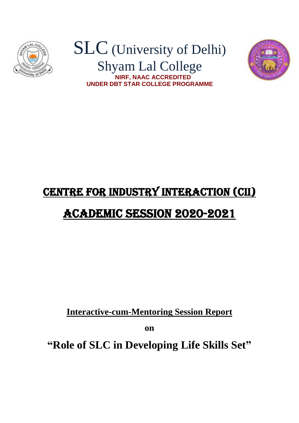

## SLC (University of Delhi) Shyam Lal College  **NIRF, NAAC ACCREDITED UNDER DBT STAR COLLEGE PROGRAMME**



## CENTRE FOR INDUSTRY INTERACTION (CII)

## Academic Session 2020-2021

**Interactive-cum-Mentoring Session Report** 

**on**

**"Role of SLC in Developing Life Skills Set"**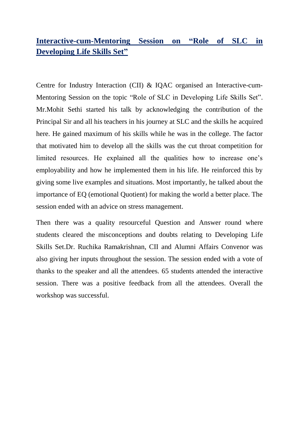## **Interactive-cum-Mentoring Session on "Role of SLC in Developing Life Skills Set"**

Centre for Industry Interaction (CII) & IQAC organised an Interactive-cum-Mentoring Session on the topic "Role of SLC in Developing Life Skills Set". Mr.Mohit Sethi started his talk by acknowledging the contribution of the Principal Sir and all his teachers in his journey at SLC and the skills he acquired here. He gained maximum of his skills while he was in the college. The factor that motivated him to develop all the skills was the cut throat competition for limited resources. He explained all the qualities how to increase one's employability and how he implemented them in his life. He reinforced this by giving some live examples and situations. Most importantly, he talked about the importance of EQ (emotional Quotient) for making the world a better place. The session ended with an advice on stress management.

Then there was a quality resourceful Question and Answer round where students cleared the misconceptions and doubts relating to Developing Life Skills Set.Dr. Ruchika Ramakrishnan, CII and Alumni Affairs Convenor was also giving her inputs throughout the session. The session ended with a vote of thanks to the speaker and all the attendees. 65 students attended the interactive session. There was a positive feedback from all the attendees. Overall the workshop was successful.